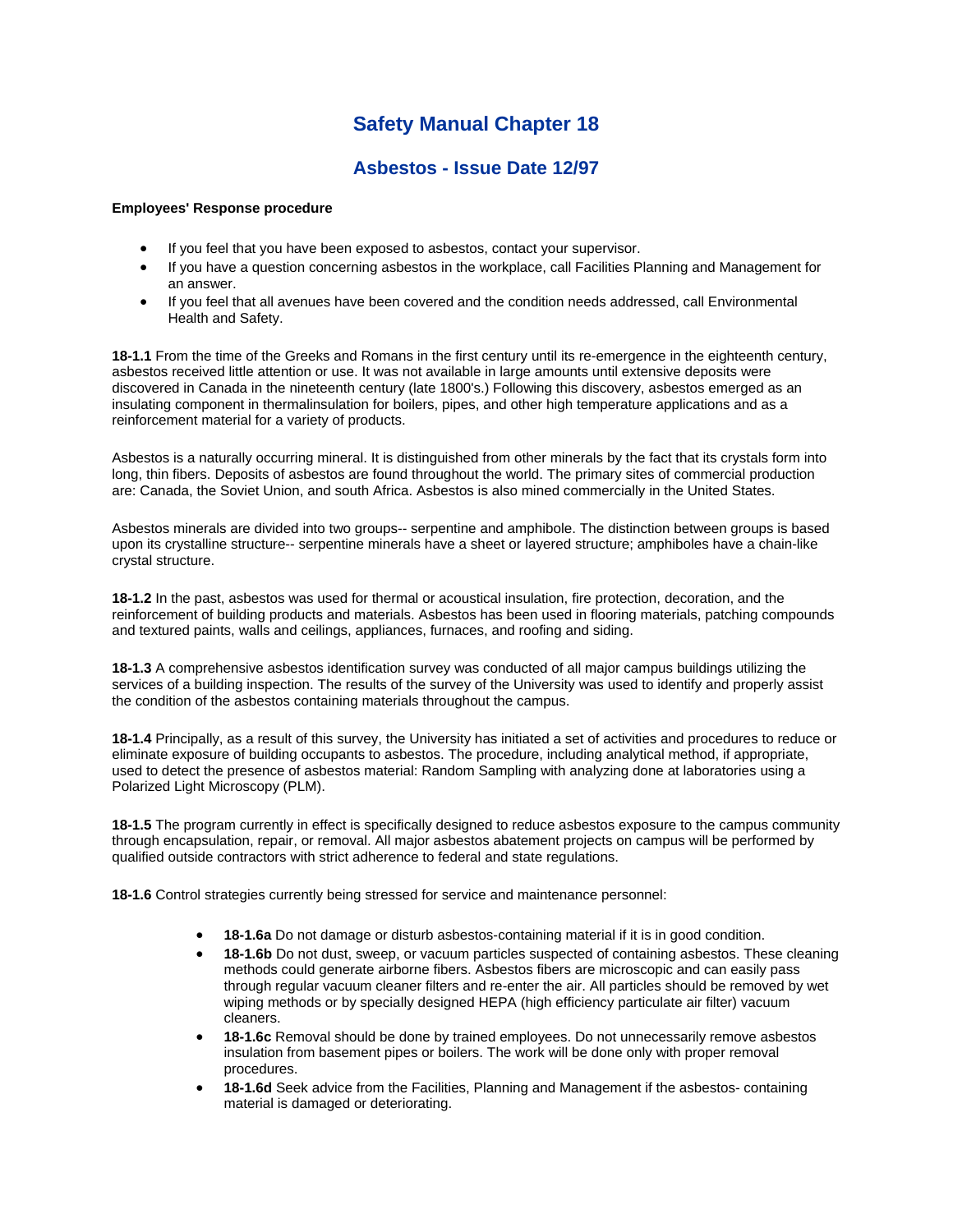## **Safety Manual Chapter 18**

## **Asbestos - Issue Date 12/97**

## **Employees' Response procedure**

- If you feel that you have been exposed to asbestos, contact your supervisor.
- If you have a question concerning asbestos in the workplace, call Facilities Planning and Management for an answer.
- If you feel that all avenues have been covered and the condition needs addressed, call Environmental Health and Safety.

**18-1.1** From the time of the Greeks and Romans in the first century until its re-emergence in the eighteenth century, asbestos received little attention or use. It was not available in large amounts until extensive deposits were discovered in Canada in the nineteenth century (late 1800's.) Following this discovery, asbestos emerged as an insulating component in thermalinsulation for boilers, pipes, and other high temperature applications and as a reinforcement material for a variety of products.

Asbestos is a naturally occurring mineral. It is distinguished from other minerals by the fact that its crystals form into long, thin fibers. Deposits of asbestos are found throughout the world. The primary sites of commercial production are: Canada, the Soviet Union, and south Africa. Asbestos is also mined commercially in the United States.

Asbestos minerals are divided into two groups-- serpentine and amphibole. The distinction between groups is based upon its crystalline structure-- serpentine minerals have a sheet or layered structure; amphiboles have a chain-like crystal structure.

**18-1.2** In the past, asbestos was used for thermal or acoustical insulation, fire protection, decoration, and the reinforcement of building products and materials. Asbestos has been used in flooring materials, patching compounds and textured paints, walls and ceilings, appliances, furnaces, and roofing and siding.

**18-1.3** A comprehensive asbestos identification survey was conducted of all major campus buildings utilizing the services of a building inspection. The results of the survey of the University was used to identify and properly assist the condition of the asbestos containing materials throughout the campus.

**18-1.4** Principally, as a result of this survey, the University has initiated a set of activities and procedures to reduce or eliminate exposure of building occupants to asbestos. The procedure, including analytical method, if appropriate, used to detect the presence of asbestos material: Random Sampling with analyzing done at laboratories using a Polarized Light Microscopy (PLM).

**18-1.5** The program currently in effect is specifically designed to reduce asbestos exposure to the campus community through encapsulation, repair, or removal. All major asbestos abatement projects on campus will be performed by qualified outside contractors with strict adherence to federal and state regulations.

**18-1.6** Control strategies currently being stressed for service and maintenance personnel:

- **18-1.6a** Do not damage or disturb asbestos-containing material if it is in good condition.
- **18-1.6b** Do not dust, sweep, or vacuum particles suspected of containing asbestos. These cleaning methods could generate airborne fibers. Asbestos fibers are microscopic and can easily pass through regular vacuum cleaner filters and re-enter the air. All particles should be removed by wet wiping methods or by specially designed HEPA (high efficiency particulate air filter) vacuum cleaners.
- **18-1.6c** Removal should be done by trained employees. Do not unnecessarily remove asbestos insulation from basement pipes or boilers. The work will be done only with proper removal procedures.
- **18-1.6d** Seek advice from the Facilities, Planning and Management if the asbestos- containing material is damaged or deteriorating.